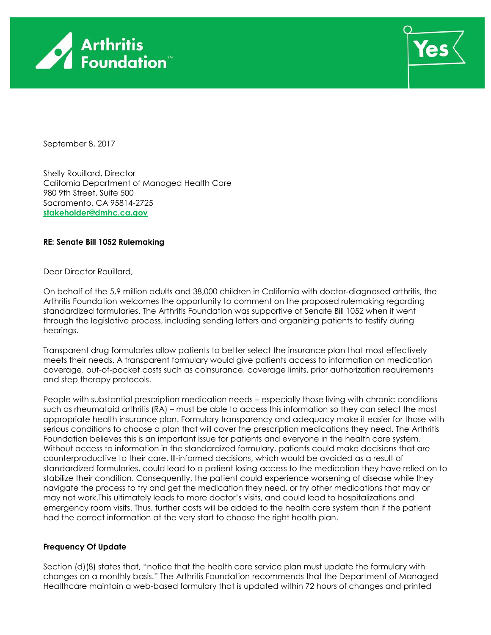



September 8, 2017

Shelly Rouillard, Director California Department of Managed Health Care 980 9th Street, Suite 500 Sacramento, CA 95814-2725 **[stakeholder@dmhc.ca.gov](mailto:stakeholder@dmhc.ca.gov)**

## **RE: Senate Bill 1052 Rulemaking**

Dear Director Rouillard,

On behalf of the 5.9 million adults and 38,000 children in California with doctor-diagnosed arthritis, the Arthritis Foundation welcomes the opportunity to comment on the proposed rulemaking regarding standardized formularies. The Arthritis Foundation was supportive of Senate Bill 1052 when it went through the legislative process, including sending letters and organizing patients to testify during hearings.

Transparent drug formularies allow patients to better select the insurance plan that most effectively meets their needs. A transparent formulary would give patients access to information on medication coverage, out-of-pocket costs such as coinsurance, coverage limits, prior authorization requirements and step therapy protocols.

People with substantial prescription medication needs – especially those living with chronic conditions such as rheumatoid arthritis (RA) – must be able to access this information so they can select the most appropriate health insurance plan. Formulary transparency and adequacy make it easier for those with serious conditions to choose a plan that will cover the prescription medications they need. The Arthritis Foundation believes this is an important issue for patients and everyone in the health care system. Without access to information in the standardized formulary, patients could make decisions that are counterproductive to their care. Ill-informed decisions, which would be avoided as a result of standardized formularies, could lead to a patient losing access to the medication they have relied on to stabilize their condition. Consequently, the patient could experience worsening of disease while they navigate the process to try and get the medication they need, or try other medications that may or may not work.This ultimately leads to more doctor's visits, and could lead to hospitalizations and emergency room visits. Thus, further costs will be added to the health care system than if the patient had the correct information at the very start to choose the right health plan.

## **Frequency Of Update**

Section (d)(8) states that, "notice that the health care service plan must update the formulary with changes on a monthly basis." The Arthritis Foundation recommends that the Department of Managed Healthcare maintain a web-based formulary that is updated within 72 hours of changes and printed